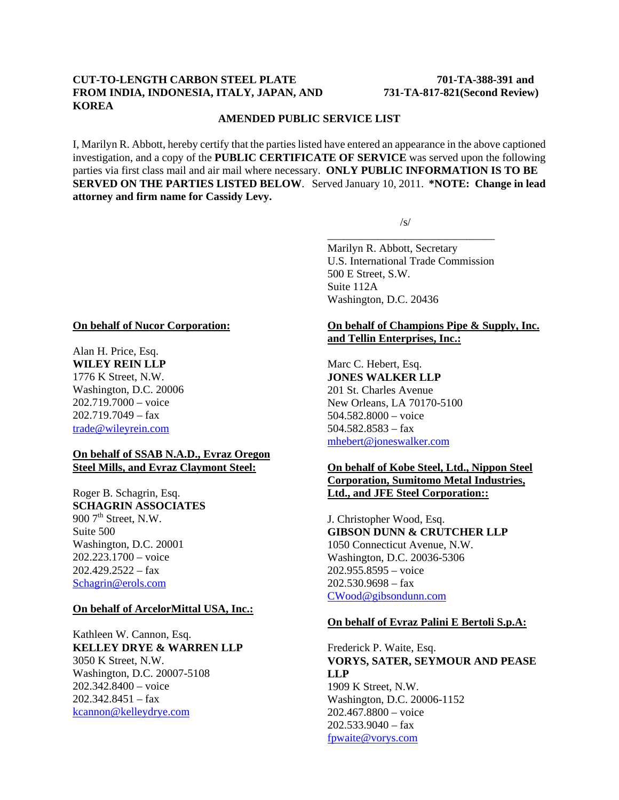# **CUT-TO-LENGTH CARBON STEEL PLATE 701-TA-388-391 and FROM INDIA, INDONESIA, ITALY, JAPAN, AND 731-TA-817-821(Second Review) KOREA**

#### **AMENDED PUBLIC SERVICE LIST**

I, Marilyn R. Abbott, hereby certify that the parties listed have entered an appearance in the above captioned investigation, and a copy of the **PUBLIC CERTIFICATE OF SERVICE** was served upon the following parties via first class mail and air mail where necessary. **ONLY PUBLIC INFORMATION IS TO BE SERVED ON THE PARTIES LISTED BELOW**. Served January 10, 2011. **\*NOTE: Change in lead attorney and firm name for Cassidy Levy.**

 $\overline{\phantom{a}}$  , and the contract of the contract of the contract of the contract of the contract of the contract of the contract of the contract of the contract of the contract of the contract of the contract of the contrac

 $\sqrt{s/2}$ 

Marilyn R. Abbott, Secretary U.S. International Trade Commission 500 E Street, S.W. Suite 112A Washington, D.C. 20436

#### **On behalf of Nucor Corporation:**

Alan H. Price, Esq. **WILEY REIN LLP** 1776 K Street, N.W. Washington, D.C. 20006 202.719.7000 – voice  $202.719.7049 - fax$ trade@wileyrein.com

#### **On behalf of SSAB N.A.D., Evraz Oregon Steel Mills, and Evraz Claymont Steel:**

Roger B. Schagrin, Esq. **SCHAGRIN ASSOCIATES**  $900$   $7<sup>th</sup>$  Street, N.W. Suite 500 Washington, D.C. 20001 202.223.1700 – voice  $202.429.2522 - fax$ Schagrin@erols.com

#### **On behalf of ArcelorMittal USA, Inc.:**

Kathleen W. Cannon, Esq. **KELLEY DRYE & WARREN LLP** 3050 K Street, N.W. Washington, D.C. 20007-5108 202.342.8400 – voice 202.342.8451 – fax kcannon@kelleydrye.com

# **On behalf of Champions Pipe & Supply, Inc. and Tellin Enterprises, Inc.:**

Marc C. Hebert, Esq. **JONES WALKER LLP** 201 St. Charles Avenue New Orleans, LA 70170-5100 504.582.8000 – voice 504.582.8583 – fax mhebert@joneswalker.com

### **On behalf of Kobe Steel, Ltd., Nippon Steel Corporation, Sumitomo Metal Industries, Ltd., and JFE Steel Corporation::**

J. Christopher Wood, Esq. **GIBSON DUNN & CRUTCHER LLP** 1050 Connecticut Avenue, N.W. Washington, D.C. 20036-5306 202.955.8595 – voice 202.530.9698 – fax CWood@gibsondunn.com

#### **On behalf of Evraz Palini E Bertoli S.p.A:**

### Frederick P. Waite, Esq. **VORYS, SATER, SEYMOUR AND PEASE LLP** 1909 K Street, N.W. Washington, D.C. 20006-1152 202.467.8800 – voice

 $202.533.9040 - fax$ fpwaite@vorys.com